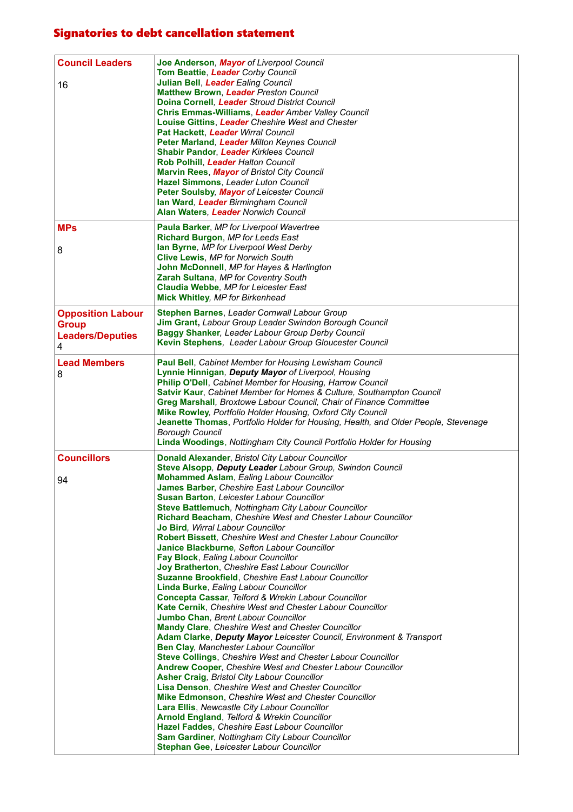## Signatories to debt cancellation statement

| <b>Council Leaders</b><br>16                                             | Joe Anderson, Mayor of Liverpool Council<br>Tom Beattie, Leader Corby Council<br>Julian Bell, Leader Ealing Council<br><b>Matthew Brown, Leader Preston Council</b><br>Doina Cornell, Leader Stroud District Council<br>Chris Emmas-Williams, Leader Amber Valley Council<br>Louise Gittins, Leader Cheshire West and Chester<br>Pat Hackett, Leader Wirral Council<br>Peter Marland, Leader Milton Keynes Council<br>Shabir Pandor, Leader Kirklees Council<br>Rob Polhill, Leader Halton Council<br>Marvin Rees, Mayor of Bristol City Council<br>Hazel Simmons, Leader Luton Council<br>Peter Soulsby, Mayor of Leicester Council<br>Ian Ward, Leader Birmingham Council<br><b>Alan Waters, Leader Norwich Council</b>                                                                                                                                                                                                                                                                                                                                                                                                                                                                                                                                                                                                                                                                                                                                                                                                                                                                                                                                                            |
|--------------------------------------------------------------------------|--------------------------------------------------------------------------------------------------------------------------------------------------------------------------------------------------------------------------------------------------------------------------------------------------------------------------------------------------------------------------------------------------------------------------------------------------------------------------------------------------------------------------------------------------------------------------------------------------------------------------------------------------------------------------------------------------------------------------------------------------------------------------------------------------------------------------------------------------------------------------------------------------------------------------------------------------------------------------------------------------------------------------------------------------------------------------------------------------------------------------------------------------------------------------------------------------------------------------------------------------------------------------------------------------------------------------------------------------------------------------------------------------------------------------------------------------------------------------------------------------------------------------------------------------------------------------------------------------------------------------------------------------------------------------------------|
| <b>MPs</b><br>8                                                          | Paula Barker, MP for Liverpool Wavertree<br>Richard Burgon, MP for Leeds East<br>lan Byrne, MP for Liverpool West Derby<br><b>Clive Lewis, MP for Norwich South</b><br>John McDonnell, MP for Hayes & Harlington<br>Zarah Sultana, MP for Coventry South<br>Claudia Webbe, MP for Leicester East<br>Mick Whitley, MP for Birkenhead                                                                                                                                                                                                                                                                                                                                                                                                                                                                                                                                                                                                                                                                                                                                                                                                                                                                                                                                                                                                                                                                                                                                                                                                                                                                                                                                                  |
| <b>Opposition Labour</b><br><b>Group</b><br><b>Leaders/Deputies</b><br>4 | <b>Stephen Barnes, Leader Cornwall Labour Group</b><br><b>Jim Grant, Labour Group Leader Swindon Borough Council</b><br>Baggy Shanker, Leader Labour Group Derby Council<br>Kevin Stephens, Leader Labour Group Gloucester Council                                                                                                                                                                                                                                                                                                                                                                                                                                                                                                                                                                                                                                                                                                                                                                                                                                                                                                                                                                                                                                                                                                                                                                                                                                                                                                                                                                                                                                                   |
| <b>Lead Members</b><br>8                                                 | Paul Bell, Cabinet Member for Housing Lewisham Council<br>Lynnie Hinnigan, Deputy Mayor of Liverpool, Housing<br>Philip O'Dell, Cabinet Member for Housing, Harrow Council<br>Satvir Kaur, Cabinet Member for Homes & Culture, Southampton Council<br><b>Greg Marshall, Broxtowe Labour Council, Chair of Finance Committee</b><br>Mike Rowley, Portfolio Holder Housing, Oxford City Council<br>Jeanette Thomas, Portfolio Holder for Housing, Health, and Older People, Stevenage<br><b>Borough Council</b><br>Linda Woodings, Nottingham City Council Portfolio Holder for Housing                                                                                                                                                                                                                                                                                                                                                                                                                                                                                                                                                                                                                                                                                                                                                                                                                                                                                                                                                                                                                                                                                                |
| <b>Councillors</b><br>94                                                 | Donald Alexander, Bristol City Labour Councillor<br>Steve Alsopp, Deputy Leader Labour Group, Swindon Council<br><b>Mohammed Aslam, Ealing Labour Councillor</b><br>James Barber, Cheshire East Labour Councillor<br><b>Susan Barton, Leicester Labour Councillor</b><br>Steve Battlemuch, Nottingham City Labour Councillor<br>Richard Beacham, Cheshire West and Chester Labour Councillor<br>Jo Bird, Wirral Labour Councillor<br><b>Robert Bissett, Cheshire West and Chester Labour Councillor</b><br>Janice Blackburne, Sefton Labour Councillor<br>Fay Block, Ealing Labour Councillor<br>Joy Bratherton, Cheshire East Labour Councillor<br><b>Suzanne Brookfield.</b> Cheshire East Labour Councillor<br>Linda Burke, Ealing Labour Councillor<br>Concepta Cassar, Telford & Wrekin Labour Councillor<br>Kate Cernik, Cheshire West and Chester Labour Councillor<br>Jumbo Chan, Brent Labour Councillor<br><b>Mandy Clare, Cheshire West and Chester Councillor</b><br>Adam Clarke, Deputy Mayor Leicester Council, Environment & Transport<br><b>Ben Clay, Manchester Labour Councillor</b><br>Steve Collings, Cheshire West and Chester Labour Councillor<br><b>Andrew Cooper, Cheshire West and Chester Labour Councillor</b><br><b>Asher Craig, Bristol City Labour Councillor</b><br>Lisa Denson, Cheshire West and Chester Councillor<br><b>Mike Edmonson, Cheshire West and Chester Councillor</b><br>Lara Ellis, Newcastle City Labour Councillor<br><b>Arnold England, Telford &amp; Wrekin Councillor</b><br>Hazel Faddes, Cheshire East Labour Councillor<br><b>Sam Gardiner, Nottingham City Labour Councillor</b><br>Stephan Gee, Leicester Labour Councillor |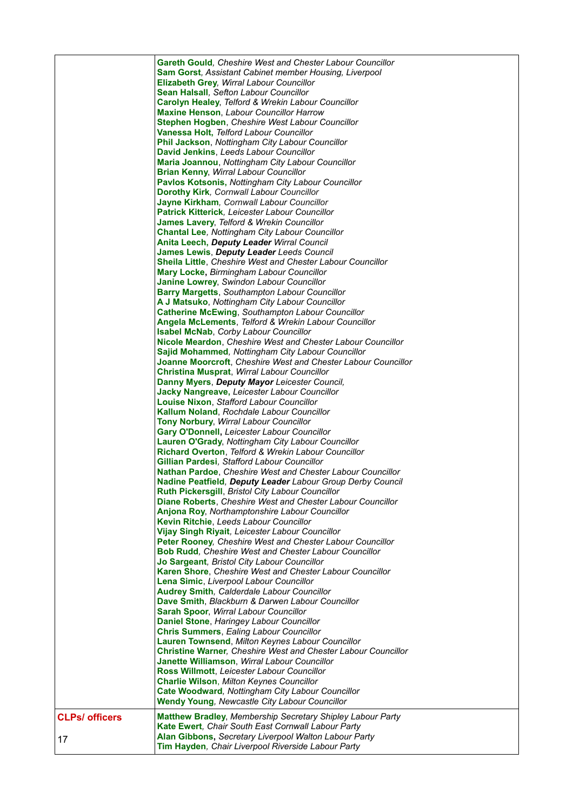|                       | <b>Gareth Gould, Cheshire West and Chester Labour Councillor</b><br><b>Sam Gorst, Assistant Cabinet member Housing, Liverpool</b><br>Elizabeth Grey, Wirral Labour Councillor<br>Sean Halsall, Sefton Labour Councillor<br><b>Carolyn Healey, Telford &amp; Wrekin Labour Councillor</b><br><b>Maxine Henson, Labour Councillor Harrow</b><br>Stephen Hogben, Cheshire West Labour Councillor<br>Vanessa Holt, Telford Labour Councillor<br><b>Phil Jackson, Nottingham City Labour Councillor</b><br>David Jenkins, Leeds Labour Councillor<br>Maria Joannou, Nottingham City Labour Councillor<br><b>Brian Kenny, Wirral Labour Councillor</b><br>Pavlos Kotsonis, Nottingham City Labour Councillor<br><b>Dorothy Kirk, Cornwall Labour Councillor</b><br>Jayne Kirkham, Cornwall Labour Councillor<br>Patrick Kitterick, Leicester Labour Councillor<br>James Lavery, Telford & Wrekin Councillor<br><b>Chantal Lee, Nottingham City Labour Councillor</b><br><b>Anita Leech, Deputy Leader Wirral Council</b><br>James Lewis, Deputy Leader Leeds Council<br><b>Sheila Little, Cheshire West and Chester Labour Councillor</b><br>Mary Locke, Birmingham Labour Councillor<br>Janine Lowrey, Swindon Labour Councillor<br><b>Barry Margetts, Southampton Labour Councillor</b><br>A J Matsuko, Nottingham City Labour Councillor<br><b>Catherine McEwing, Southampton Labour Councillor</b><br>Angela McLements, Telford & Wrekin Labour Councillor<br><b>Isabel McNab, Corby Labour Councillor</b><br>Nicole Meardon, Cheshire West and Chester Labour Councillor<br>Sajid Mohammed, Nottingham City Labour Councillor<br>Joanne Moorcroft, Cheshire West and Chester Labour Councillor<br>Christina Musprat, Wirral Labour Councillor<br>Danny Myers, Deputy Mayor Leicester Council,<br><b>Jacky Nangreave, Leicester Labour Councillor</b><br>Louise Nixon, Stafford Labour Councillor<br><b>Kallum Noland, Rochdale Labour Councillor</b><br>Tony Norbury, Wirral Labour Councillor<br>Gary O'Donnell, Leicester Labour Councillor<br>Lauren O'Grady, Nottingham City Labour Councillor<br>Richard Overton, Telford & Wrekin Labour Councillor<br>Gillian Pardesi, Stafford Labour Councillor<br><b>Nathan Pardoe, Cheshire West and Chester Labour Councillor</b><br>Nadine Peatfield, Deputy Leader Labour Group Derby Council<br>Ruth Pickersgill, Bristol City Labour Councillor<br><b>Diane Roberts.</b> Cheshire West and Chester Labour Councillor<br>Anjona Roy, Northamptonshire Labour Councillor<br>Kevin Ritchie, Leeds Labour Councillor<br>Vijay Singh Riyait, Leicester Labour Councillor<br>Peter Rooney, Cheshire West and Chester Labour Councillor<br><b>Bob Rudd, Cheshire West and Chester Labour Councillor</b><br>Jo Sargeant, Bristol City Labour Councillor<br><b>Karen Shore, Cheshire West and Chester Labour Councillor</b><br>Lena Simic, Liverpool Labour Councillor<br><b>Audrey Smith, Calderdale Labour Councillor</b><br>Dave Smith, Blackburn & Darwen Labour Councillor<br>Sarah Spoor, Wirral Labour Councillor<br>Daniel Stone, Haringey Labour Councillor<br><b>Chris Summers, Ealing Labour Councillor</b><br>Lauren Townsend, Milton Keynes Labour Councillor<br><b>Christine Warner, Cheshire West and Chester Labour Councillor</b><br>Janette Williamson, Wirral Labour Councillor |
|-----------------------|------------------------------------------------------------------------------------------------------------------------------------------------------------------------------------------------------------------------------------------------------------------------------------------------------------------------------------------------------------------------------------------------------------------------------------------------------------------------------------------------------------------------------------------------------------------------------------------------------------------------------------------------------------------------------------------------------------------------------------------------------------------------------------------------------------------------------------------------------------------------------------------------------------------------------------------------------------------------------------------------------------------------------------------------------------------------------------------------------------------------------------------------------------------------------------------------------------------------------------------------------------------------------------------------------------------------------------------------------------------------------------------------------------------------------------------------------------------------------------------------------------------------------------------------------------------------------------------------------------------------------------------------------------------------------------------------------------------------------------------------------------------------------------------------------------------------------------------------------------------------------------------------------------------------------------------------------------------------------------------------------------------------------------------------------------------------------------------------------------------------------------------------------------------------------------------------------------------------------------------------------------------------------------------------------------------------------------------------------------------------------------------------------------------------------------------------------------------------------------------------------------------------------------------------------------------------------------------------------------------------------------------------------------------------------------------------------------------------------------------------------------------------------------------------------------------------------------------------------------------------------------------------------------------------------------------------------------------------------------------------------------------------------------------------------------------------------------------------------------------------------------------------------------------------------------------------------------------------------------------------------------------------------------------------------------------------------------------|
|                       | Ross Willmott, Leicester Labour Councillor<br><b>Charlie Wilson, Milton Keynes Councillor</b><br>Cate Woodward, Nottingham City Labour Councillor<br><b>Wendy Young, Newcastle City Labour Councillor</b>                                                                                                                                                                                                                                                                                                                                                                                                                                                                                                                                                                                                                                                                                                                                                                                                                                                                                                                                                                                                                                                                                                                                                                                                                                                                                                                                                                                                                                                                                                                                                                                                                                                                                                                                                                                                                                                                                                                                                                                                                                                                                                                                                                                                                                                                                                                                                                                                                                                                                                                                                                                                                                                                                                                                                                                                                                                                                                                                                                                                                                                                                                                                |
| <b>CLPs/ officers</b> | Matthew Bradley, Membership Secretary Shipley Labour Party                                                                                                                                                                                                                                                                                                                                                                                                                                                                                                                                                                                                                                                                                                                                                                                                                                                                                                                                                                                                                                                                                                                                                                                                                                                                                                                                                                                                                                                                                                                                                                                                                                                                                                                                                                                                                                                                                                                                                                                                                                                                                                                                                                                                                                                                                                                                                                                                                                                                                                                                                                                                                                                                                                                                                                                                                                                                                                                                                                                                                                                                                                                                                                                                                                                                               |
| 17                    | <b>Kate Ewert, Chair South East Cornwall Labour Party</b><br>Alan Gibbons, Secretary Liverpool Walton Labour Party<br>Tim Hayden, Chair Liverpool Riverside Labour Party                                                                                                                                                                                                                                                                                                                                                                                                                                                                                                                                                                                                                                                                                                                                                                                                                                                                                                                                                                                                                                                                                                                                                                                                                                                                                                                                                                                                                                                                                                                                                                                                                                                                                                                                                                                                                                                                                                                                                                                                                                                                                                                                                                                                                                                                                                                                                                                                                                                                                                                                                                                                                                                                                                                                                                                                                                                                                                                                                                                                                                                                                                                                                                 |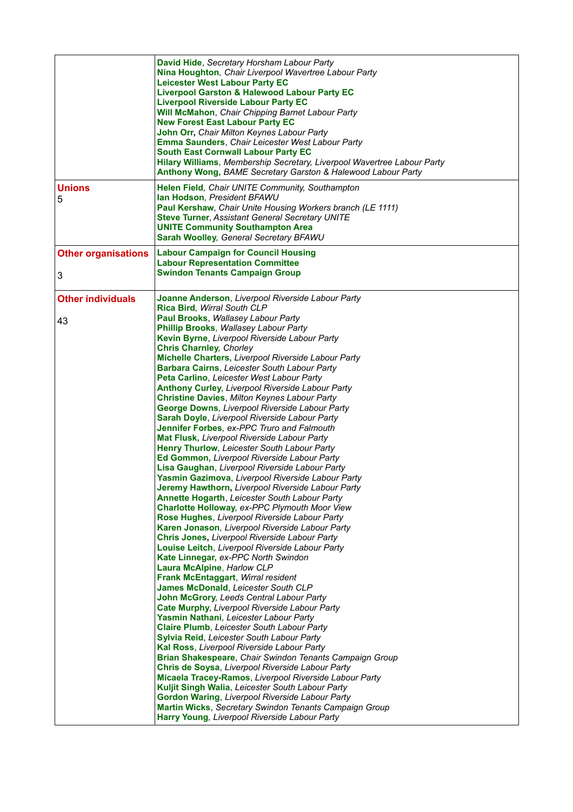|                                 | David Hide, Secretary Horsham Labour Party<br>Nina Houghton, Chair Liverpool Wavertree Labour Party<br><b>Leicester West Labour Party EC</b><br><b>Liverpool Garston &amp; Halewood Labour Party EC</b><br><b>Liverpool Riverside Labour Party EC</b><br><b>Will McMahon, Chair Chipping Barnet Labour Party</b><br><b>New Forest East Labour Party EC</b><br>John Orr, Chair Milton Keynes Labour Party<br>Emma Saunders, Chair Leicester West Labour Party<br><b>South East Cornwall Labour Party EC</b><br>Hilary Williams, Membership Secretary, Liverpool Wavertree Labour Party<br>Anthony Wong, BAME Secretary Garston & Halewood Labour Party                                                                                                                                                                                                                                                                                                                                                                                                                                                                                                                                                                                                                                                                                                                                                                                                                                                                                                                                                                                                                                                                                                                                                                                                                                                                                                                                                                                                                                                                                                        |
|---------------------------------|--------------------------------------------------------------------------------------------------------------------------------------------------------------------------------------------------------------------------------------------------------------------------------------------------------------------------------------------------------------------------------------------------------------------------------------------------------------------------------------------------------------------------------------------------------------------------------------------------------------------------------------------------------------------------------------------------------------------------------------------------------------------------------------------------------------------------------------------------------------------------------------------------------------------------------------------------------------------------------------------------------------------------------------------------------------------------------------------------------------------------------------------------------------------------------------------------------------------------------------------------------------------------------------------------------------------------------------------------------------------------------------------------------------------------------------------------------------------------------------------------------------------------------------------------------------------------------------------------------------------------------------------------------------------------------------------------------------------------------------------------------------------------------------------------------------------------------------------------------------------------------------------------------------------------------------------------------------------------------------------------------------------------------------------------------------------------------------------------------------------------------------------------------------|
| <b>Unions</b><br>5              | <b>Helen Field, Chair UNITE Community, Southampton</b><br>Ian Hodson, President BFAWU<br>Paul Kershaw, Chair Unite Housing Workers branch (LE 1111)<br><b>Steve Turner, Assistant General Secretary UNITE</b><br><b>UNITE Community Southampton Area</b><br>Sarah Woolley, General Secretary BFAWU                                                                                                                                                                                                                                                                                                                                                                                                                                                                                                                                                                                                                                                                                                                                                                                                                                                                                                                                                                                                                                                                                                                                                                                                                                                                                                                                                                                                                                                                                                                                                                                                                                                                                                                                                                                                                                                           |
| <b>Other organisations</b><br>3 | <b>Labour Campaign for Council Housing</b><br><b>Labour Representation Committee</b><br><b>Swindon Tenants Campaign Group</b>                                                                                                                                                                                                                                                                                                                                                                                                                                                                                                                                                                                                                                                                                                                                                                                                                                                                                                                                                                                                                                                                                                                                                                                                                                                                                                                                                                                                                                                                                                                                                                                                                                                                                                                                                                                                                                                                                                                                                                                                                                |
| <b>Other individuals</b><br>43  | Joanne Anderson, Liverpool Riverside Labour Party<br>Rica Bird. Wirral South CLP<br>Paul Brooks, Wallasey Labour Party<br>Phillip Brooks, Wallasey Labour Party<br>Kevin Byrne, Liverpool Riverside Labour Party<br><b>Chris Charnley, Chorley</b><br>Michelle Charters, Liverpool Riverside Labour Party<br>Barbara Cairns, Leicester South Labour Party<br>Peta Carlino, Leicester West Labour Party<br>Anthony Curley, Liverpool Riverside Labour Party<br>Christine Davies, Milton Keynes Labour Party<br><b>George Downs, Liverpool Riverside Labour Party</b><br>Sarah Doyle, Liverpool Riverside Labour Party<br>Jennifer Forbes, ex-PPC Truro and Falmouth<br>Mat Flusk, Liverpool Riverside Labour Party<br>Henry Thurlow, Leicester South Labour Party<br>Ed Gommon, Liverpool Riverside Labour Party<br>Lisa Gaughan, Liverpool Riverside Labour Party<br>Yasmin Gazimova, Liverpool Riverside Labour Party<br>Jeremy Hawthorn, Liverpool Riverside Labour Party<br><b>Annette Hogarth, Leicester South Labour Party</b><br>Charlotte Holloway, ex-PPC Plymouth Moor View<br>Rose Hughes, Liverpool Riverside Labour Party<br>Karen Jonason, Liverpool Riverside Labour Party<br>Chris Jones, Liverpool Riverside Labour Party<br>Louise Leitch, Liverpool Riverside Labour Party<br>Kate Linnegar, ex-PPC North Swindon<br>Laura McAlpine, Harlow CLP<br>Frank McEntaggart, Wirral resident<br>James McDonald, Leicester South CLP<br>John McGrory, Leeds Central Labour Party<br>Cate Murphy, Liverpool Riverside Labour Party<br>Yasmin Nathani, Leicester Labour Party<br><b>Claire Plumb, Leicester South Labour Party</b><br><b>Sylvia Reid, Leicester South Labour Party</b><br>Kal Ross, Liverpool Riverside Labour Party<br><b>Brian Shakespeare, Chair Swindon Tenants Campaign Group</b><br>Chris de Soysa, Liverpool Riverside Labour Party<br>Micaela Tracey-Ramos, Liverpool Riverside Labour Party<br>Kuljit Singh Walia, Leicester South Labour Party<br><b>Gordon Waring, Liverpool Riverside Labour Party</b><br><b>Martin Wicks, Secretary Swindon Tenants Campaign Group</b><br>Harry Young, Liverpool Riverside Labour Party |